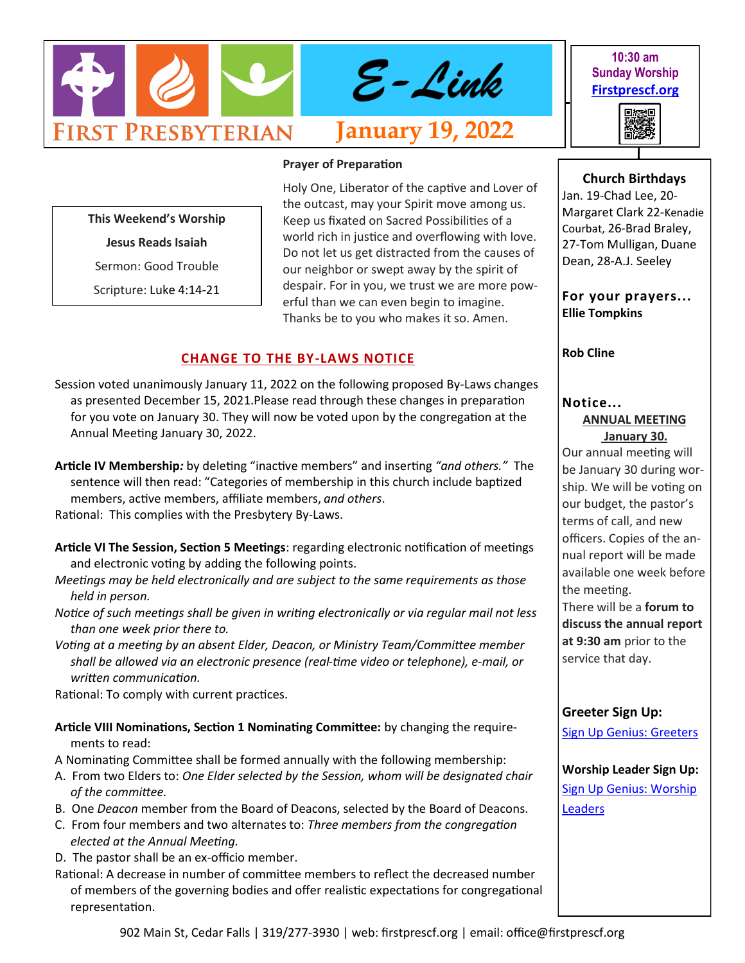

**10:30 am Sunday Worship [Firstprescf.org](http://www.firstprescf.org)**



**Prayer of Preparation**

**This Weekend's Worship** 

**Jesus Reads Isaiah**

Sermon: Good Trouble

Scripture: Luke 4:14-21

Holy One, Liberator of the captive and Lover of the outcast, may your Spirit move among us. Keep us fixated on Sacred Possibilities of a world rich in justice and overflowing with love. Do not let us get distracted from the causes of our neighbor or swept away by the spirit of despair. For in you, we trust we are more powerful than we can even begin to imagine. Thanks be to you who makes it so. Amen.

## **CHANGE TO THE BY-LAWS NOTICE**

- Session voted unanimously January 11, 2022 on the following proposed By-Laws changes as presented December 15, 2021.Please read through these changes in preparation for you vote on January 30. They will now be voted upon by the congregation at the Annual Meeting January 30, 2022.
- **Article IV Membership***:* by deleting "inactive members" and inserting *"and others."* The sentence will then read: "Categories of membership in this church include baptized members, active members, affiliate members, *and others*.

Rational: This complies with the Presbytery By-Laws.

- **Article VI The Session, Section 5 Meetings**: regarding electronic notification of meetings and electronic voting by adding the following points.
- *Meetings may be held electronically and are subject to the same requirements as those held in person.*
- *Notice of such meetings shall be given in writing electronically or via regular mail not less than one week prior there to.*
- *Voting at a meeting by an absent Elder, Deacon, or Ministry Team/Committee member shall be allowed via an electronic presence (real-time video or telephone), e-mail, or written communication*.

Rational: To comply with current practices.

- **Article VIII Nominations, Section 1 Nominating Committee:** by changing the requirements to read:
- A Nominating Committee shall be formed annually with the following membership:
- A. From two Elders to: *One Elder selected by the Session, whom will be designated chair of the committee.*
- B. One *Deacon* member from the Board of Deacons, selected by the Board of Deacons.
- C. From four members and two alternates to: *Three members from the congregation elected at the Annual Meeting.*
- D. The pastor shall be an ex-officio member.

Rational: A decrease in number of committee members to reflect the decreased number of members of the governing bodies and offer realistic expectations for congregational representation.

#### **Church Birthdays**

Jan. 19-Chad Lee, 20- Margaret Clark 22-Kenadie Courbat, 26-Brad Braley, 27-Tom Mulligan, Duane Dean, 28-A.J. Seeley

**For your prayers... Ellie Tompkins** 

**Rob Cline** 

# **Notice...**

#### **ANNUAL MEETING January 30.**

Our annual meeting will be January 30 during worship. We will be voting on our budget, the pastor's terms of call, and new officers. Copies of the annual report will be made available one week before the meeting. There will be a **forum to** 

**discuss the annual report at 9:30 am** prior to the service that day.

## **Greeter Sign Up:**

[Sign Up Genius: Greeters](https://www.signupgenius.com/go/10C0D4BA9A728ABF4CF8-shepherds1)

**Worship Leader Sign Up:** [Sign Up Genius: Worship](https://www.signupgenius.com/go/10C0D4BA9A728ABF4CF8-worship)  **[Leaders](https://www.signupgenius.com/go/10C0D4BA9A728ABF4CF8-worship)**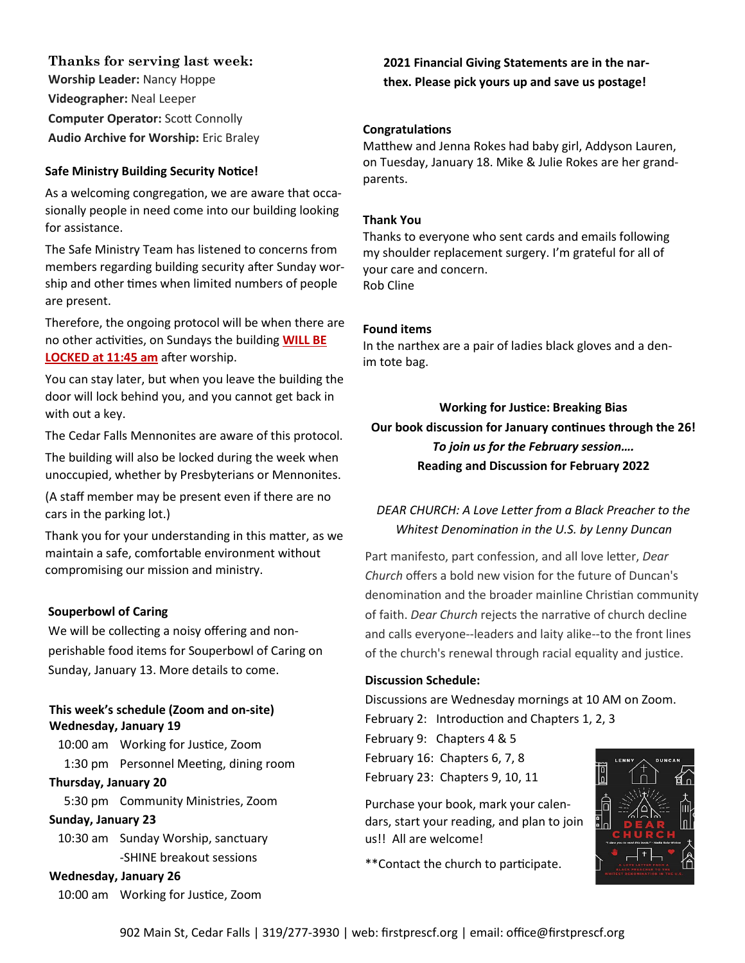**Thanks for serving last week:**

**Worship Leader:** Nancy Hoppe **Videographer:** Neal Leeper **Computer Operator:** Scott Connolly **Audio Archive for Worship:** Eric Braley

## **Safe Ministry Building Security Notice!**<br>parents.

As a welcoming congregation, we are aware that occasionally people in need come into our building looking for assistance.

The Safe Ministry Team has listened to concerns from members regarding building security after Sunday worship and other times when limited numbers of people are present.

Therefore, the ongoing protocol will be when there are no other activities, on Sundays the building **WILL BE LOCKED at 11:45 am** after worship.

You can stay later, but when you leave the building the door will lock behind you, and you cannot get back in with out a key.

The Cedar Falls Mennonites are aware of this protocol.

The building will also be locked during the week when unoccupied, whether by Presbyterians or Mennonites.

(A staff member may be present even if there are no cars in the parking lot.)

Thank you for your understanding in this matter, as we maintain a safe, comfortable environment without compromising our mission and ministry.

#### **Souperbowl of Caring**

We will be collecting a noisy offering and nonperishable food items for Souperbowl of Caring on Sunday, January 13. More details to come.

#### **This week's schedule (Zoom and on-site) Wednesday, January 19**

10:00 am Working for Justice, Zoom 1:30 pm Personnel Meeting, dining room

#### **Thursday, January 20**

5:30 pm Community Ministries, Zoom

#### **Sunday, January 23**

10:30 am Sunday Worship, sanctuary -SHINE breakout sessions

#### **Wednesday, January 26**

10:00 am Working for Justice, Zoom

**2021 Financial Giving Statements are in the narthex. Please pick yours up and save us postage!**

#### **Congratulations**

Matthew and Jenna Rokes had baby girl, Addyson Lauren, on Tuesday, January 18. Mike & Julie Rokes are her grand-

#### **Thank You**

Thanks to everyone who sent cards and emails following my shoulder replacement surgery. I'm grateful for all of your care and concern. Rob Cline

#### **Found items**

In the narthex are a pair of ladies black gloves and a denim tote bag.

**Working for Justice: Breaking Bias Our book discussion for January continues through the 26!** *To join us for the February session….* **Reading and Discussion for February 2022**

## *DEAR CHURCH: A Love Letter from a Black Preacher to the Whitest Denomination in the U.S. by Lenny Duncan*

Part manifesto, part confession, and all love letter, *Dear Church* offers a bold new vision for the future of Duncan's denomination and the broader mainline Christian community of faith. *Dear Church* rejects the narrative of church decline and calls everyone--leaders and laity alike--to the front lines of the church's renewal through racial equality and justice.

#### **Discussion Schedule:**

Discussions are Wednesday mornings at 10 AM on Zoom. February 2: Introduction and Chapters 1, 2, 3

February 9: Chapters 4 & 5 February 16: Chapters 6, 7, 8 February 23: Chapters 9, 10, 11

Purchase your book, mark your calendars, start your reading, and plan to join us!! All are welcome!

\*\*Contact the church to participate.